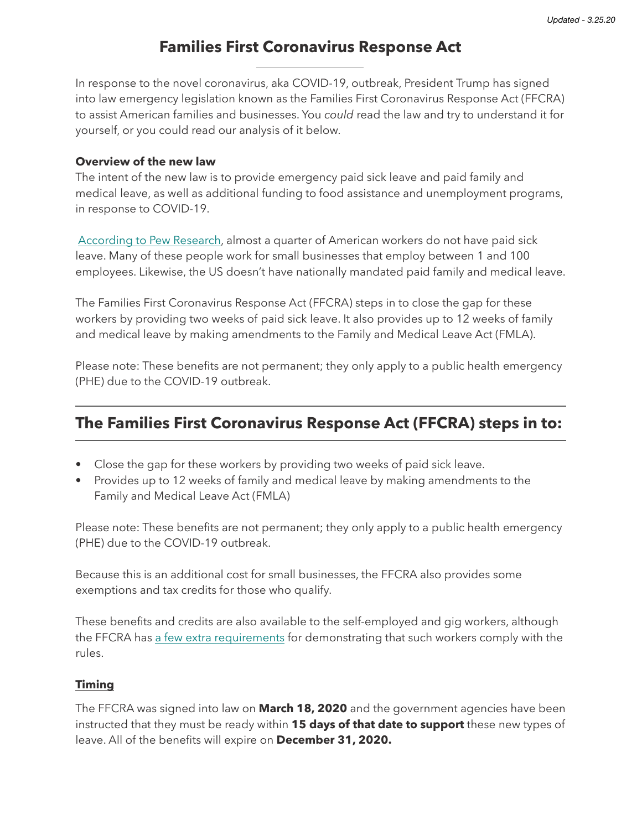# **Families First Coronavirus Response Act**

In response to the novel coronavirus, aka COVID-19, outbreak, President Trump has signed into law emergency legislation known as the Families First Coronavirus Response Act (FFCRA) to assist American families and businesses. You *could* read the law and try to understand it for yourself, or you could read our analysis of it below.

#### **Overview of the new law**

The intent of the new law is to provide emergency paid sick leave and paid family and medical leave, as well as additional funding to food assistance and unemployment programs, in response to COVID-19.

[According to Pew Research,](https://www.pewresearch.org/fact-tank/2020/03/12/as-coronavirus-spreads-which-u-s-workers-have-paid-sick-leave-and-which-dont/) almost a quarter of American workers do not have paid sick leave. Many of these people work for small businesses that employ between 1 and 100 employees. Likewise, the US doesn't have nationally mandated paid family and medical leave.

The Families First Coronavirus Response Act (FFCRA) steps in to close the gap for these workers by providing two weeks of paid sick leave. It also provides up to 12 weeks of family and medical leave by making amendments to the Family and Medical Leave Act (FMLA).

Please note: These benefits are not permanent; they only apply to a public health emergency (PHE) due to the COVID-19 outbreak.

# **The Families First Coronavirus Response Act (FFCRA) steps in to:**

- Close the gap for these workers by providing two weeks of paid sick leave.
- Provides up to 12 weeks of family and medical leave by making amendments to the Family and Medical Leave Act (FMLA)

Please note: These benefits are not permanent; they only apply to a public health emergency (PHE) due to the COVID-19 outbreak.

Because this is an additional cost for small businesses, the FFCRA also provides some exemptions and tax credits for those who qualify.

These benefits and credits are also available to the self-employed and gig workers, although the FFCRA has [a few extra requirements](https://www.washingtonpost.com/business/2020/03/16/paid-sick-leave-coronavirus-house-bill/) for demonstrating that such workers comply with the rules.

### **Timing**

The FFCRA was signed into law on **March 18, 2020** and the government agencies have been instructed that they must be ready within **15 days of that date to support** these new types of leave. All of the benefits will expire on **December 31, 2020.**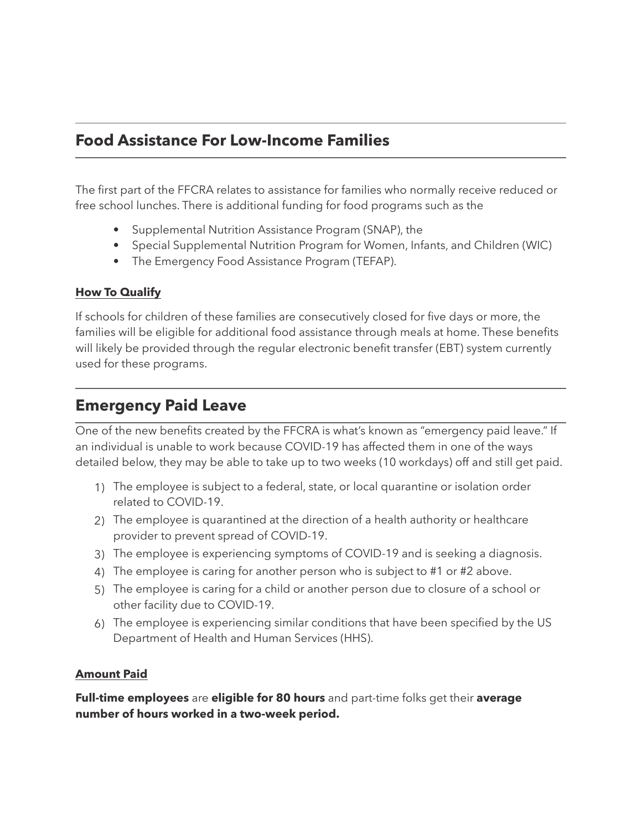# **Food Assistance For Low-Income Families**

The first part of the FFCRA relates to assistance for families who normally receive reduced or free school lunches. There is additional funding for food programs such as the

- Supplemental Nutrition Assistance Program (SNAP), the
- Special Supplemental Nutrition Program for Women, Infants, and Children (WIC)
- The Emergency Food Assistance Program (TEFAP).

### **How To Qualify**

If schools for children of these families are consecutively closed for five days or more, the families will be eligible for additional food assistance through meals at home. These benefits will likely be provided through the regular electronic benefit transfer (EBT) system currently used for these programs.

# **Emergency Paid Leave**

One of the new benefits created by the FFCRA is what's known as "emergency paid leave." If an individual is unable to work because COVID-19 has affected them in one of the ways detailed below, they may be able to take up to two weeks (10 workdays) off and still get paid.

- 1) The employee is subject to a federal, state, or local quarantine or isolation order related to COVID-19.
- 2) The employee is quarantined at the direction of a health authority or healthcare provider to prevent spread of COVID-19.
- 3) The employee is experiencing symptoms of COVID-19 and is seeking a diagnosis.
- 4) The employee is caring for another person who is subject to #1 or #2 above.
- 5) The employee is caring for a child or another person due to closure of a school or other facility due to COVID-19.
- 6) The employee is experiencing similar conditions that have been specified by the US Department of Health and Human Services (HHS).

### **Amount Paid**

**Full-time employees** are **eligible for 80 hours** and part-time folks get their **average number of hours worked in a two-week period.**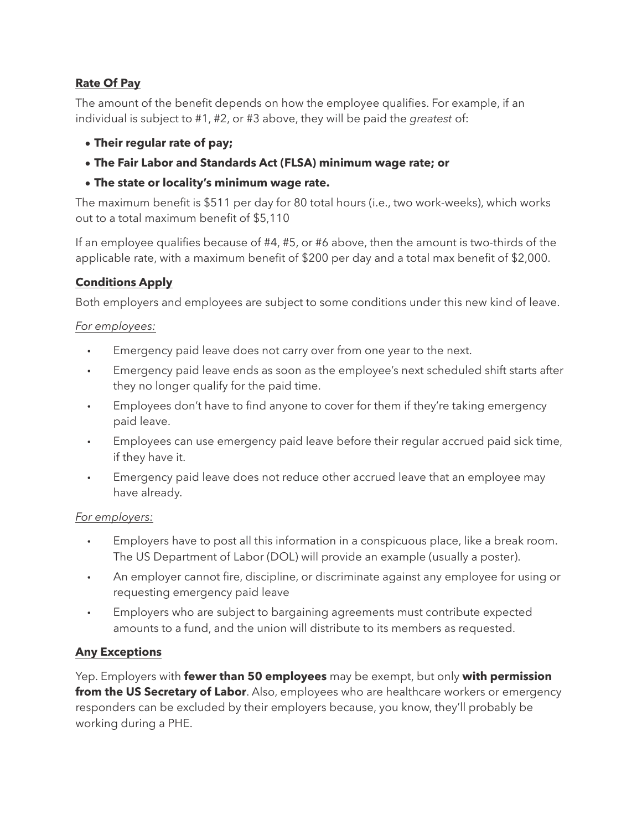## **Rate Of Pay**

The amount of the benefit depends on how the employee qualifies. For example, if an individual is subject to #1, #2, or #3 above, they will be paid the *greatest* of:

- **• Their regular rate of pay;**
- **• The Fair Labor and Standards Act (FLSA) minimum wage rate; or**
- **• The state or locality's minimum wage rate.**

The maximum benefit is \$511 per day for 80 total hours (i.e., two work-weeks), which works out to a total maximum benefit of \$5,110

If an employee qualifies because of #4, #5, or #6 above, then the amount is two-thirds of the applicable rate, with a maximum benefit of \$200 per day and a total max benefit of \$2,000.

## **Conditions Apply**

Both employers and employees are subject to some conditions under this new kind of leave.

## *For employees:*

- Emergency paid leave does not carry over from one year to the next.
- Emergency paid leave ends as soon as the employee's next scheduled shift starts after they no longer qualify for the paid time.
- Employees don't have to find anyone to cover for them if they're taking emergency paid leave.
- Employees can use emergency paid leave before their regular accrued paid sick time, if they have it.
- Emergency paid leave does not reduce other accrued leave that an employee may have already.

## *For employers:*

- Employers have to post all this information in a conspicuous place, like a break room. The US Department of Labor (DOL) will provide an example (usually a poster).
- An employer cannot fire, discipline, or discriminate against any employee for using or requesting emergency paid leave
- Employers who are subject to bargaining agreements must contribute expected amounts to a fund, and the union will distribute to its members as requested.

## **Any Exceptions**

Yep. Employers with **fewer than 50 employees** may be exempt, but only **with permission from the US Secretary of Labor**. Also, employees who are healthcare workers or emergency responders can be excluded by their employers because, you know, they'll probably be working during a PHE.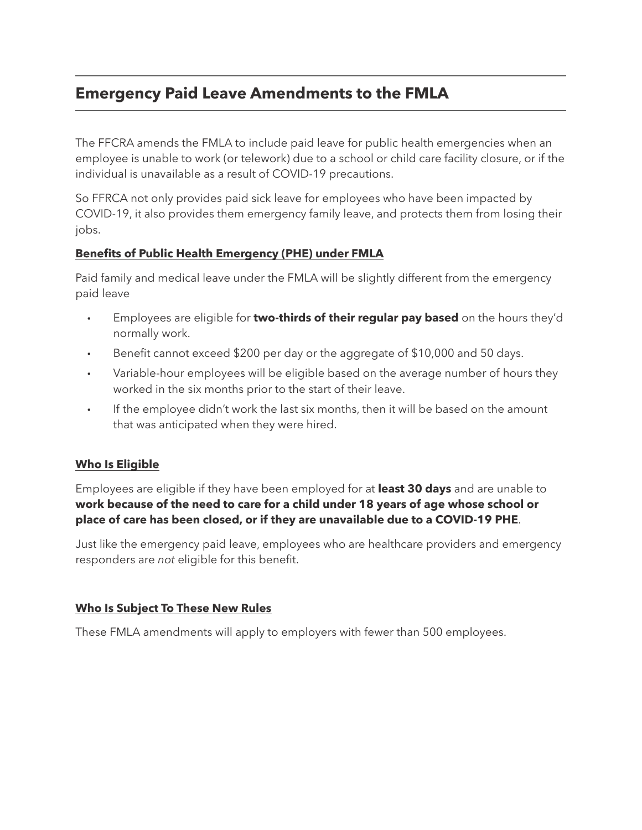# **Emergency Paid Leave Amendments to the FMLA**

The FFCRA amends the FMLA to include paid leave for public health emergencies when an employee is unable to work (or telework) due to a school or child care facility closure, or if the individual is unavailable as a result of COVID-19 precautions.

So FFRCA not only provides paid sick leave for employees who have been impacted by COVID-19, it also provides them emergency family leave, and protects them from losing their jobs.

## **Benefits of Public Health Emergency (PHE) under FMLA**

Paid family and medical leave under the FMLA will be slightly different from the emergency paid leave

- Employees are eligible for **two-thirds of their regular pay based** on the hours they'd normally work.
- Benefit cannot exceed \$200 per day or the aggregate of \$10,000 and 50 days.
- Variable-hour employees will be eligible based on the average number of hours they worked in the six months prior to the start of their leave.
- If the employee didn't work the last six months, then it will be based on the amount that was anticipated when they were hired.

## **Who Is Eligible**

Employees are eligible if they have been employed for at **least 30 days** and are unable to **work because of the need to care for a child under 18 years of age whose school or place of care has been closed, or if they are unavailable due to a COVID-19 PHE**.

Just like the emergency paid leave, employees who are healthcare providers and emergency responders are *not* eligible for this benefit.

## **Who Is Subject To These New Rules**

These FMLA amendments will apply to employers with fewer than 500 employees.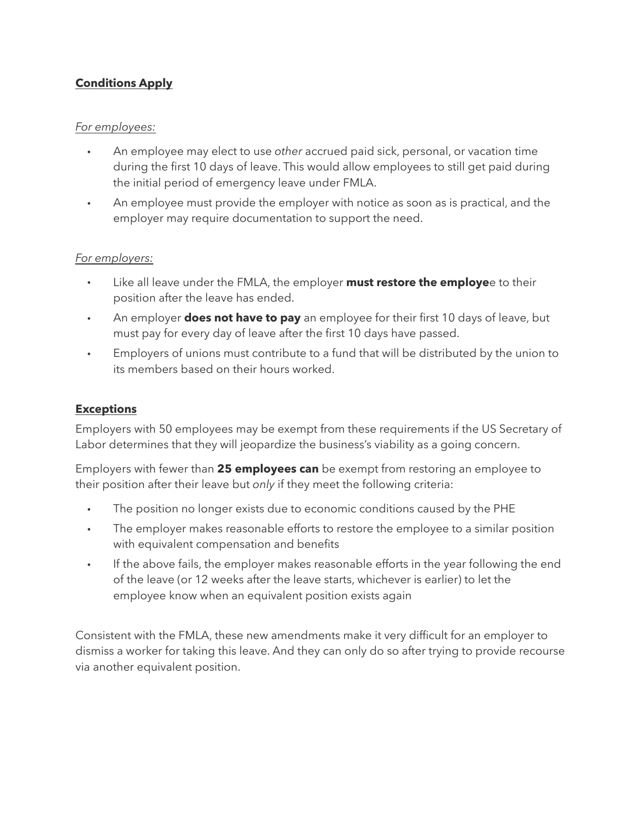## **Conditions Apply**

### *For employees:*

- An employee may elect to use *other* accrued paid sick, personal, or vacation time during the first 10 days of leave. This would allow employees to still get paid during the initial period of emergency leave under FMLA.
- An employee must provide the employer with notice as soon as is practical, and the employer may require documentation to support the need.

#### *For employers:*

- Like all leave under the FMLA, the employer **must restore the employe**e to their position after the leave has ended.
- An employer **does not have to pay** an employee for their first 10 days of leave, but must pay for every day of leave after the first 10 days have passed.
- Employers of unions must contribute to a fund that will be distributed by the union to its members based on their hours worked.

### **Exceptions**

Employers with 50 employees may be exempt from these requirements if the US Secretary of Labor determines that they will jeopardize the business's viability as a going concern.

Employers with fewer than **25 employees can** be exempt from restoring an employee to their position after their leave but *only* if they meet the following criteria:

- The position no longer exists due to economic conditions caused by the PHE
- The employer makes reasonable efforts to restore the employee to a similar position with equivalent compensation and benefits
- If the above fails, the employer makes reasonable efforts in the year following the end of the leave (or 12 weeks after the leave starts, whichever is earlier) to let the employee know when an equivalent position exists again

Consistent with the FMLA, these new amendments make it very difficult for an employer to dismiss a worker for taking this leave. And they can only do so after trying to provide recourse via another equivalent position.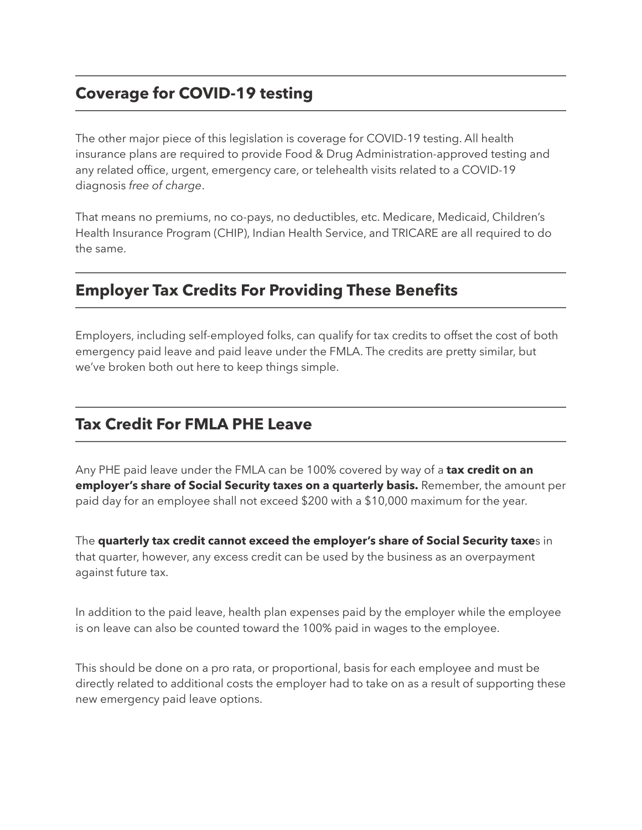# **Coverage for COVID-19 testing**

The other major piece of this legislation is coverage for COVID-19 testing. All health insurance plans are required to provide Food & Drug Administration-approved testing and any related office, urgent, emergency care, or telehealth visits related to a COVID-19 diagnosis *free of charge*.

That means no premiums, no co-pays, no deductibles, etc. Medicare, Medicaid, Children's Health Insurance Program (CHIP), Indian Health Service, and TRICARE are all required to do the same.

# **Employer Tax Credits For Providing These Benefits**

Employers, including self-employed folks, can qualify for tax credits to offset the cost of both emergency paid leave and paid leave under the FMLA. The credits are pretty similar, but we've broken both out here to keep things simple.

# **Tax Credit For FMLA PHE Leave**

Any PHE paid leave under the FMLA can be 100% covered by way of a **tax credit on an employer's share of Social Security taxes on a quarterly basis.** Remember, the amount per paid day for an employee shall not exceed \$200 with a \$10,000 maximum for the year.

The **quarterly tax credit cannot exceed the employer's share of Social Security taxe**s in that quarter, however, any excess credit can be used by the business as an overpayment against future tax.

In addition to the paid leave, health plan expenses paid by the employer while the employee is on leave can also be counted toward the 100% paid in wages to the employee.

This should be done on a pro rata, or proportional, basis for each employee and must be directly related to additional costs the employer had to take on as a result of supporting these new emergency paid leave options.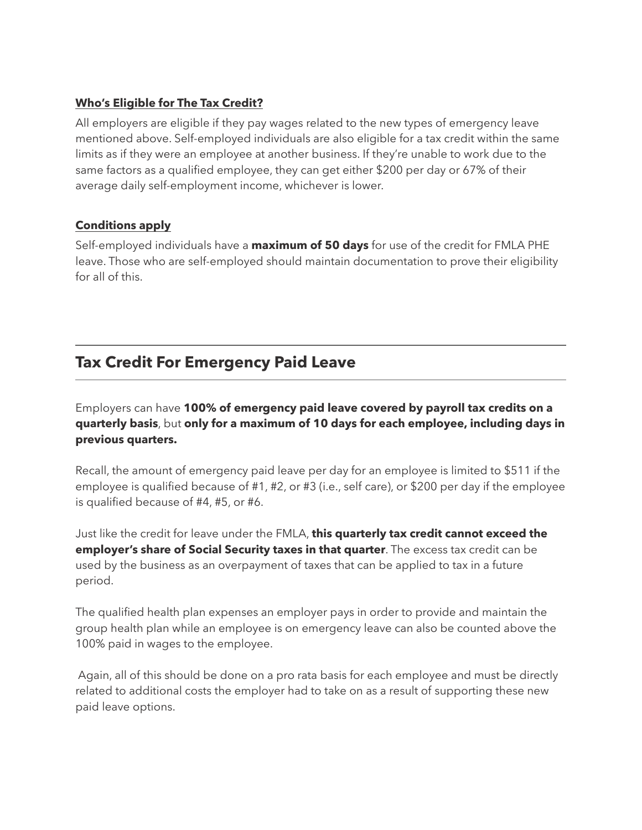### **Who's Eligible for The Tax Credit?**

All employers are eligible if they pay wages related to the new types of emergency leave mentioned above. Self-employed individuals are also eligible for a tax credit within the same limits as if they were an employee at another business. If they're unable to work due to the same factors as a qualified employee, they can get either \$200 per day or 67% of their average daily self-employment income, whichever is lower.

### **Conditions apply**

Self-employed individuals have a **maximum of 50 days** for use of the credit for FMLA PHE leave. Those who are self-employed should maintain documentation to prove their eligibility for all of this.

# **Tax Credit For Emergency Paid Leave**

Employers can have **100% of emergency paid leave covered by payroll tax credits on a quarterly basis**, but **only for a maximum of 10 days for each employee, including days in previous quarters.** 

Recall, the amount of emergency paid leave per day for an employee is limited to \$511 if the employee is qualified because of #1, #2, or #3 (i.e., self care), or \$200 per day if the employee is qualified because of #4, #5, or #6.

Just like the credit for leave under the FMLA, **this quarterly tax credit cannot exceed the employer's share of Social Security taxes in that quarter**. The excess tax credit can be used by the business as an overpayment of taxes that can be applied to tax in a future period.

The qualified health plan expenses an employer pays in order to provide and maintain the group health plan while an employee is on emergency leave can also be counted above the 100% paid in wages to the employee.

 Again, all of this should be done on a pro rata basis for each employee and must be directly related to additional costs the employer had to take on as a result of supporting these new paid leave options.